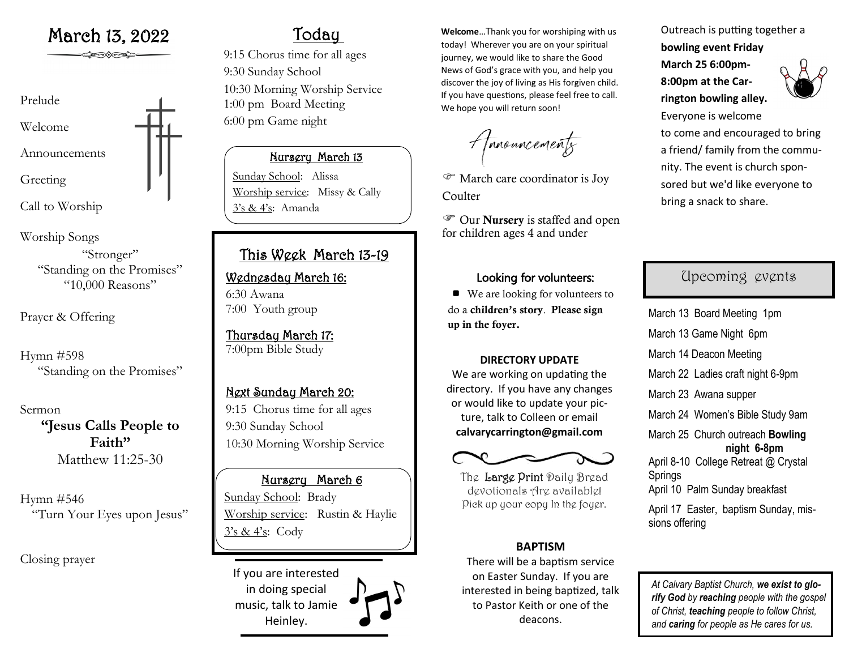

Call to Worship

Worship Songs

"Stronger" "Standing on the Promises" "10,000 Reasons"

Prayer & Offering

Hymn #598 "Standing on the Promises"

Sermon **"Jesus Calls People to Faith"** Matthew 11:25-30

Hymn #546 "Turn Your Eyes upon Jesus"

Closing prayer

# Today

9:15 Chorus time for all ages 9:30 Sunday School 10:30 Morning Worship Service 1:00 pm Board Meeting 6:00 pm Game night

#### Nursery March 13

Sunday School: Alissa Worship service: Missy & Cally 3's & 4's: Amanda

## This Week March 13-19

### Wednesday March 16: 6:30 Awana

7:00 Youth group

#### Thursday March 17: 7:00pm Bible Study

### Next Sunday March 20:

9:15 Chorus time for all ages 9:30 Sunday School 10:30 Morning Worship Service

### Nursery March 6

Sunday School: Brady Worship service: Rustin & Haylie  $3's & 4's:$  Cody

If you are interested in doing special music, talk to Jamie Heinley.

March 13, 2022 **Welcome** March 13, 2022 today! Wherever you are on your spiritual journey, we would like to share the Good News of God's grace with you, and help you discover the joy of living as His forgiven child. If you have questions, please feel free to call. We hope you will return soon!

Amouncements

 March care coordinator is Joy **Coulter** 

 Our Nursery is staffed and open for children ages 4 and under

### Looking for volunteers:

■ We are looking for volunteers to do a children's story. Please sign up in the foyer.

#### **DIRECTORY UPDATE**

We are working on updating the directory. If you have any changes or would like to update your picture, talk to Colleen or email **calvarycarrington@gmail.com**



The Large Print Daily Bread devotionals Are available! Pick up your copy In the foyer.

#### **BAPTISM**

There will be a baptism service on Easter Sunday. If you are interested in being baptized, talk to Pastor Keith or one of the deacons.

Outreach is putting together a **bowling event Friday** 

**March 25 6:00pm-8:00pm at the Carrington bowling alley.** 



Everyone is welcome to come and encouraged to bring a friend/ family from the community. The event is church sponsored but we'd like everyone to bring a snack to share.

## Upcoming events

March 13 Board Meeting 1pm March 13 Game Night 6pm March 14 Deacon Meeting March 22 Ladies craft night 6-9pm March 23 Awana supper March 24 Women's Bible Study 9am March 25 Church outreach **Bowling night 6-8pm** April 8-10 College Retreat @ Crystal Springs April 10 Palm Sunday breakfast April 17 Easter, baptism Sunday, missions offering

*At Calvary Baptist Church, we exist to glorify God by reaching people with the gospel of Christ, teaching people to follow Christ, and caring for people as He cares for us.*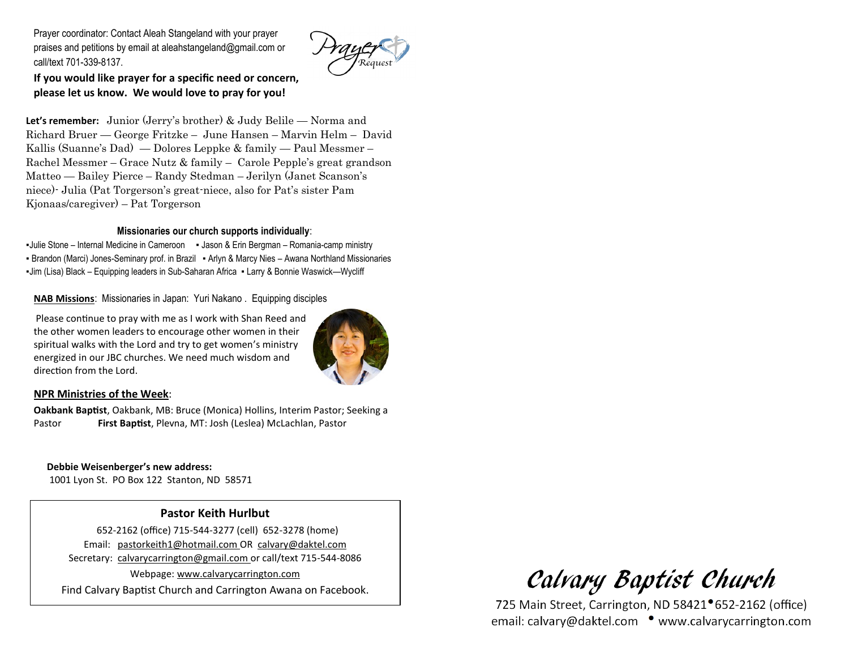Prayer coordinator: Contact Aleah Stangeland with your prayer praises and petitions by email at aleahstangeland@gmail.com or call/text 701-339-8137.



**If you would like prayer for a specific need or concern, please let us know. We would love to pray for you!**

**Let's remember:** Junior (Jerry's brother) & Judy Belile — Norma and Richard Bruer — George Fritzke – June Hansen – Marvin Helm – David Kallis (Suanne's Dad) — Dolores Leppke & family — Paul Messmer – Rachel Messmer – Grace Nutz & family – Carole Pepple's great grandson Matteo — Bailey Pierce – Randy Stedman – Jerilyn (Janet Scanson's niece)- Julia (Pat Torgerson's great-niece, also for Pat's sister Pam Kjonaas/caregiver) – Pat Torgerson

#### **Missionaries our church supports individually**:

▪Julie Stone – Internal Medicine in Cameroon ▪ Jason & Erin Bergman – Romania-camp ministry ▪ Brandon (Marci) Jones-Seminary prof. in Brazil ▪ Arlyn & Marcy Nies – Awana Northland Missionaries ▪Jim (Lisa) Black – Equipping leaders in Sub-Saharan Africa ▪ Larry & Bonnie Waswick—Wycliff

**NAB Missions**: Missionaries in Japan: Yuri Nakano . Equipping disciples

Please continue to pray with me as I work with Shan Reed and the other women leaders to encourage other women in their spiritual walks with the Lord and try to get women's ministry energized in our JBC churches. We need much wisdom and direction from the Lord.



#### **NPR Ministries of the Week**:

**Oakbank Baptist**, Oakbank, MB: Bruce (Monica) Hollins, Interim Pastor; Seeking a Pastor **First Baptist**, Plevna, MT: Josh (Leslea) McLachlan, Pastor

### **Debbie Weisenberger's new address:**

1001 Lyon St. PO Box 122 Stanton, ND 58571

#### **Pastor Keith Hurlbut**

 652-2162 (office) 715-544-3277 (cell) 652-3278 (home) Email: pastorkeith1@hotmail.com OR calvary@daktel.com Secretary: calvarycarrington@gmail.com or call/text 715-544-8086 Webpage: [www.calvarycarrington.com](http://www.calvarycarrington.com) Find Calvary Baptist Church and Carrington Awana on Facebook.

Calvary Baptist Church

725 Main Street, Carrington, ND 58421<sup>•</sup>652-2162 (office) email: calvary@daktel.com • www.calvarycarrington.com